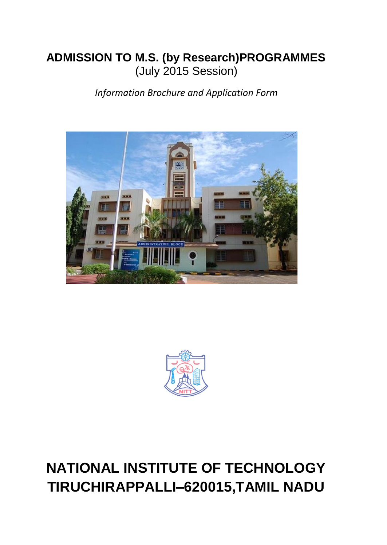# **ADMISSION TO M.S. (by Research)PROGRAMMES** (July 2015 Session)

*Information Brochure and Application Form*





# **NATIONAL INSTITUTE OF TECHNOLOGY TIRUCHIRAPPALLI–620015,TAMIL NADU**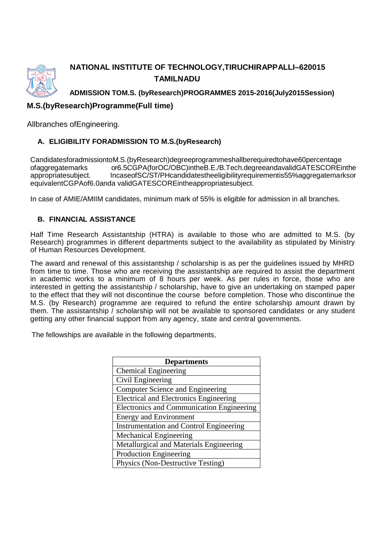

## **NATIONAL INSTITUTE OF TECHNOLOGY,TIRUCHIRAPPALLI–620015 TAMILNADU**

**ADMISSION TOM.S. (byResearch)PROGRAMMES 2015-2016(July2015Session)**

## **M.S.(byResearch)Programme(Full time)**

Allbranches ofEngineering.

#### **A. ELIGIBILITY FORADMISSION TO M.S.(byResearch)**

CandidatesforadmissiontoM.S.(byResearch)degreeprogrammeshallberequiredtohave60percentage ofaggregatemarks or6.5CGPA(forOC/OBC)intheB.E./B.Tech.degreeandavalidGATESCOREinthe appropriatesubject. IncaseofSC/ST/PHcandidatestheeligibilityrequirementis55%aggregatemarksor equivalentCGPAof6.0anda validGATESCOREintheappropriatesubject.

In case of AMIE/AMIIM candidates, minimum mark of 55% is eligible for admission in all branches.

#### **B. FINANCIAL ASSISTANCE**

Half Time Research Assistantship (HTRA) is available to those who are admitted to M.S. (by Research) programmes in different departments subject to the availability as stipulated by Ministry of Human Resources Development.

The award and renewal of this assistantship / scholarship is as per the guidelines issued by MHRD from time to time. Those who are receiving the assistantship are required to assist the department in academic works to a minimum of 8 hours per week. As per rules in force, those who are interested in getting the assistantship / scholarship, have to give an undertaking on stamped paper to the effect that they will not discontinue the course before completion. Those who discontinue the M.S. (by Research) programme are required to refund the entire scholarship amount drawn by them. The assistantship / scholarship will not be available to sponsored candidates or any student getting any other financial support from any agency, state and central governments.

The fellowships are available in the following departments,

| <b>Departments</b>                               |
|--------------------------------------------------|
| <b>Chemical Engineering</b>                      |
| Civil Engineering                                |
| <b>Computer Science and Engineering</b>          |
| <b>Electrical and Electronics Engineering</b>    |
| <b>Electronics and Communication Engineering</b> |
| <b>Energy and Environment</b>                    |
| <b>Instrumentation and Control Engineering</b>   |
| <b>Mechanical Engineering</b>                    |
| Metallurgical and Materials Engineering          |
| <b>Production Engineering</b>                    |
| Physics (Non-Destructive Testing)                |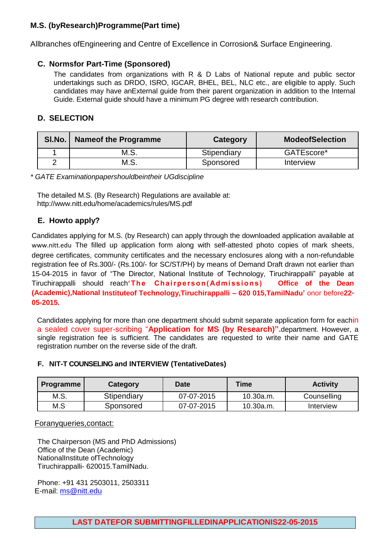## **M.S. (byResearch)Programme(Part time)**

Allbranches ofEngineering and Centre of Excellence in Corrosion& Surface Engineering.

#### **C. Normsfor Part-Time (Sponsored)**

The candidates from organizations with R & D Labs of National repute and public sector undertakings such as DRDO, ISRO, IGCAR, BHEL, BEL, NLC etc., are eligible to apply. Such candidates may have anExternal guide from their parent organization in addition to the Internal Guide. External guide should have a minimum PG degree with research contribution.

#### **D. SELECTION**

| SI.No. | <b>Nameof the Programme</b> | Category    | <b>ModeofSelection</b> |
|--------|-----------------------------|-------------|------------------------|
|        | M.S.                        | Stipendiary | GATEscore*             |
|        | M.S.                        | Sponsored   | Interview              |

*\* GATE Examinationpapershouldbeintheir UGdiscipline*

The detailed M.S. (By Research) Regulations are available at: <http://www.nitt.edu/home/academics/rules/MS.pdf>

### **E. Howto apply?**

Candidates applying for M.S. (by Research) can apply through the downloaded application available at [www.nitt.edu](http://www.nitt.edu/) The filled up application form along with self-attested photo copies of mark sheets, degree certificates, community certificates and the necessary enclosures along with a non-refundable registration fee of Rs.300/- (Rs.100/- for SC/ST/PH) by means of Demand Draft drawn not earlier than 15-04-2015 in favor of "The Director, National Institute of Technology, Tiruchirappalli" payable at Tiruchirappalli should reach**'The Chairperson( Admissions) Office of the Dean (Academic),National Instituteof Technology,Tiruchirappalli – 620 015,TamilNadu'** onor before**22- 05-2015.**

Candidates applying for more than one department should submit separate application form for eachin a sealed cover super-scribing "**Application for MS (by Research)".**department. However, a single registration fee is sufficient. The candidates are requested to write their name and GATE registration number on the reverse side of the draft.

#### **F. NIT-T COUNSELING and INTERVIEW (TentativeDates)**

| Programme | Category    | Date       | Γime∣     | <b>Activity</b> |
|-----------|-------------|------------|-----------|-----------------|
| M.S.      | Stipendiary | 07-07-2015 | 10.30a.m. | Counselling     |
| M.S       | Sponsored   | 07-07-2015 | 10.30a.m. | Interview       |

#### Foranyqueries,contact:

The Chairperson (MS and PhD Admissions) Office of the Dean (Academic) NationalInstitute ofTechnology Tiruchirappalli- 620015.TamilNadu.

Phone: +91 431 2503011, 2503311 E-mail: [ms@nitt.edu](mailto:ms@nitt.edu)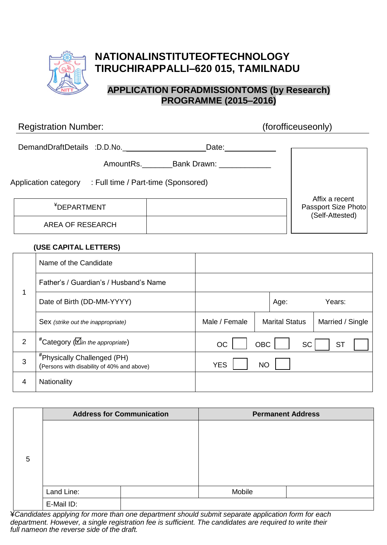

## **NATIONALINSTITUTEOFTECHNOLOGY TIRUCHIRAPPALLI–620 015, TAMILNADU**

## **APPLICATION FORADMISSIONTOMS (by Research) PROGRAMME (2015–2016)**

| <b>Registration Number:</b> |                                     | (forofficeuseonly)                                       |
|-----------------------------|-------------------------------------|----------------------------------------------------------|
| DemandDraftDetails :D.D.No. | Date:<br>AmountRs. Bank Drawn:      |                                                          |
| Application category        | : Full time / Part-time (Sponsored) |                                                          |
| <sup>¥</sup> DEPARTMENT     |                                     | Affix a recent<br>Passport Size Photo<br>(Self-Attested) |
| AREA OF RESEARCH            |                                     |                                                          |
| /LIAF AIRITIL LETTERA       |                                     |                                                          |

#### **(USE CAPITAL LETTERS)**

|   | Name of the Candidate                                                                   |               |            |                       |                  |
|---|-----------------------------------------------------------------------------------------|---------------|------------|-----------------------|------------------|
|   | Father's / Guardian's / Husband's Name                                                  |               |            |                       |                  |
| 1 | Date of Birth (DD-MM-YYYY)                                                              |               |            | Age:                  | Years:           |
|   | Sex (strike out the inappropriate)                                                      | Male / Female |            | <b>Marital Status</b> | Married / Single |
| 2 | $*$ Category ( $\mathcal{D}_{in}$ the appropriate)                                      | <b>OC</b>     | <b>OBC</b> | <b>SC</b>             | <b>ST</b>        |
| 3 | <i><b>*Physically Challenged (PH)</b></i><br>(Persons with disability of 40% and above) | <b>YES</b>    | <b>NO</b>  |                       |                  |
| 4 | Nationality                                                                             |               |            |                       |                  |

|   |            | <b>Address for Communication</b> |        | <b>Permanent Address</b> |
|---|------------|----------------------------------|--------|--------------------------|
|   |            |                                  |        |                          |
|   |            |                                  |        |                          |
| 5 |            |                                  |        |                          |
|   |            |                                  |        |                          |
|   |            |                                  |        |                          |
|   | Land Line: |                                  | Mobile |                          |
|   | E-Mail ID: |                                  |        |                          |

¥*Candidates applying for more than one department should submit separate application form for each department. However, a single registration fee is sufficient. The candidates are required to write their full nameon the reverse side of the draft.*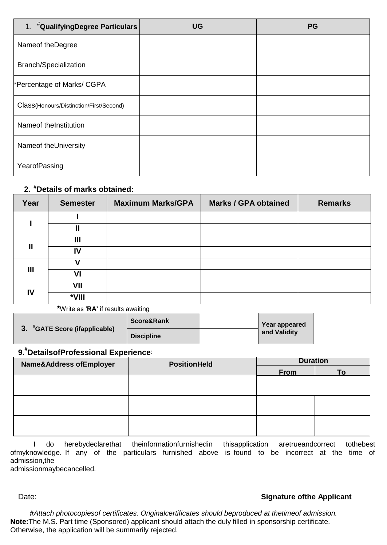| 1. #QualifyingDegree Particulars        | <b>UG</b> | <b>PG</b> |
|-----------------------------------------|-----------|-----------|
| Nameof theDegree                        |           |           |
| <b>Branch/Specialization</b>            |           |           |
| *Percentage of Marks/ CGPA              |           |           |
| Class(Honours/Distinction/First/Second) |           |           |
| Nameof the Institution                  |           |           |
| Nameof theUniversity                    |           |           |
| YearofPassing                           |           |           |

### **2. #Details of marks obtained:**

| Year | <b>Semester</b> | <b>Maximum Marks/GPA</b> | <b>Marks / GPA obtained</b> | <b>Remarks</b> |
|------|-----------------|--------------------------|-----------------------------|----------------|
|      |                 |                          |                             |                |
|      | Ш               |                          |                             |                |
| Ш    | Ш               |                          |                             |                |
|      | IV              |                          |                             |                |
| Ш    |                 |                          |                             |                |
|      | VI              |                          |                             |                |
|      | VII             |                          |                             |                |
| IV   | *VIII           |                          |                             |                |

**\***Write as "**RA'** if results awaiting

|                            | Score&Rank        | Year appeared |  |
|----------------------------|-------------------|---------------|--|
| "GATE Score (ifapplicable) | <b>Discipline</b> | and Validity  |  |

## **9. # DetailsofProfessional [Experience](file:///D:\DEAN%20ACADEMIC%20OFFICE\Administrator\AppData\Local\Microsoft\Windows\Temporary%20Internet%20Files\Local%20Settings\AppData\Local\Microsoft\Windows\Temporary%20Internet%20Files\Local%20Settings\Temporary%20Internet%20Files\Content.IE5\Z01PV7FW\mailto%3fExperience@%3f)**:

| <b>Name&amp;Address ofEmployer</b> | <b>PositionHeld</b> | <b>Duration</b> |           |  |
|------------------------------------|---------------------|-----------------|-----------|--|
|                                    |                     | <b>From</b>     | <u>To</u> |  |
|                                    |                     |                 |           |  |
|                                    |                     |                 |           |  |
|                                    |                     |                 |           |  |
|                                    |                     |                 |           |  |
|                                    |                     |                 |           |  |
|                                    |                     |                 |           |  |

I do herebydeclarethat theinformationfurnishedin thisapplication aretrueandcorrect tothebest ofmyknowledge. If any of the particulars furnished above is found to be incorrect at the time of admission,the

admissionmaybecancelled.

#### Date: **Signature of the Applicant**

**#***Attach photocopiesof certificates. Originalcertificates should beproduced at thetimeof admission.* **Note:**The M.S. Part time (Sponsored) applicant should attach the duly filled in sponsorship certificate. Otherwise, the application will be summarily rejected.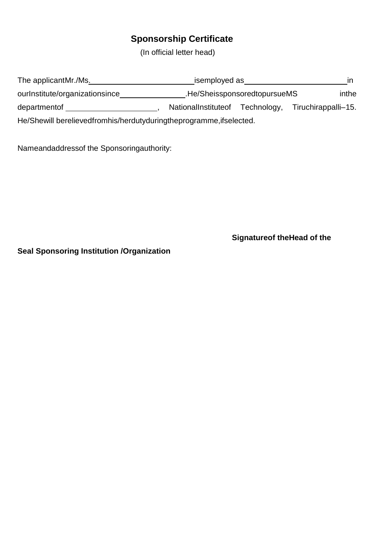## **Sponsorship Certificate**

(In official letter head)

inthe departmentof \_\_\_\_\_\_\_\_\_\_\_\_\_\_\_\_\_\_\_\_\_\_\_\_, NationalInstituteof Technology, Tiruchirappalli-15. He/Shewill berelievedfromhis/herdutyduringtheprogramme, ifselected.

Nameandaddressof the Sponsoringauthority:

**Signatureof theHead of the** 

**Seal Sponsoring Institution /Organization**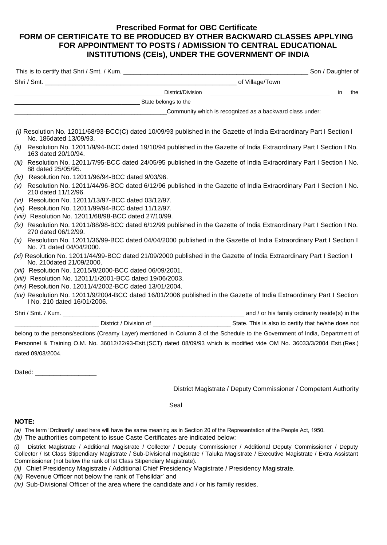#### **Prescribed Format for OBC Certificate FORM OF CERTIFICATE TO BE PRODUCED BY OTHER BACKWARD CLASSES APPLYING FOR APPOINTMENT TO POSTS / ADMISSION TO CENTRAL EDUCATIONAL INSTITUTIONS (CEIs), UNDER THE GOVERNMENT OF INDIA**

|                                                                                                                                                     | in<br>the |
|-----------------------------------------------------------------------------------------------------------------------------------------------------|-----------|
| <b>Example 20</b> State belongs to the                                                                                                              |           |
|                                                                                                                                                     |           |
| (i) Resolution No. 12011/68/93-BCC(C) dated 10/09/93 published in the Gazette of India Extraordinary Part I Section I<br>No. 186dated 13/09/93.     |           |
| Resolution No. 12011/9/94-BCC dated 19/10/94 published in the Gazette of India Extraordinary Part I Section I No.<br>(ii)<br>163 dated 20/10/94.    |           |
| (iii) Resolution No. 12011/7/95-BCC dated 24/05/95 published in the Gazette of India Extraordinary Part I Section I No.<br>88 dated 25/05/95.       |           |
| (iv) Resolution No. 12011/96/94-BCC dated 9/03/96.                                                                                                  |           |
| Resolution No. 12011/44/96-BCC dated 6/12/96 published in the Gazette of India Extraordinary Part I Section I No.<br>(V)<br>210 dated 11/12/96.     |           |
| (vi) Resolution No. 12011/13/97-BCC dated 03/12/97.                                                                                                 |           |
| (vii) Resolution No. 12011/99/94-BCC dated 11/12/97.                                                                                                |           |
| (viii) Resolution No. 12011/68/98-BCC dated 27/10/99.                                                                                               |           |
| (ix) Resolution No. 12011/88/98-BCC dated 6/12/99 published in the Gazette of India Extraordinary Part I Section I No.<br>270 dated 06/12/99.       |           |
| (x) Resolution No. 12011/36/99-BCC dated 04/04/2000 published in the Gazette of India Extraordinary Part I Section I<br>No. 71 dated 04/04/2000.    |           |
| (xi) Resolution No. 12011/44/99-BCC dated 21/09/2000 published in the Gazette of India Extraordinary Part I Section I<br>No. 210dated 21/09/2000.   |           |
| (xii) Resolution No. 12015/9/2000-BCC dated 06/09/2001.                                                                                             |           |
| (xiii) Resolution No. 12011/1/2001-BCC dated 19/06/2003.                                                                                            |           |
| (xiv) Resolution No. 12011/4/2002-BCC dated 13/01/2004.                                                                                             |           |
| (xv) Resolution No. 12011/9/2004-BCC dated 16/01/2006 published in the Gazette of India Extraordinary Part I Section<br>I No. 210 dated 16/01/2006. |           |
|                                                                                                                                                     |           |
|                                                                                                                                                     |           |
| belong to the persons/sections (Creamy Layer) mentioned in Column 3 of the Schedule to the Government of India, Department of                       |           |
| Personnel & Training O.M. No. 36012/22/93-Estt.(SCT) dated 08/09/93 which is modified vide OM No. 36033/3/2004 Estt.(Res.)                          |           |

Dated:  $\Box$ 

dated 09/03/2004.

District Magistrate / Deputy Commissioner / Competent Authority

Seal

#### **NOTE:**

*(a)* The term 'Ordinarily' used here will have the same meaning as in Section 20 of the Representation of the People Act, 1950.

*(b)* The authorities competent to issue Caste Certificates are indicated below:

*(i)* District Magistrate / Additional Magistrate / Collector / Deputy Commissioner / Additional Deputy Commissioner / Deputy Collector / Ist Class Stipendiary Magistrate / Sub-Divisional magistrate / Taluka Magistrate / Executive Magistrate / Extra Assistant Commissioner (not below the rank of Ist Class Stipendiary Magistrate).

*(ii)* Chief Presidency Magistrate / Additional Chief Presidency Magistrate / Presidency Magistrate.

*(iii)* Revenue Officer not below the rank of Tehsildar' and

*(iv)* Sub-Divisional Officer of the area where the candidate and / or his family resides.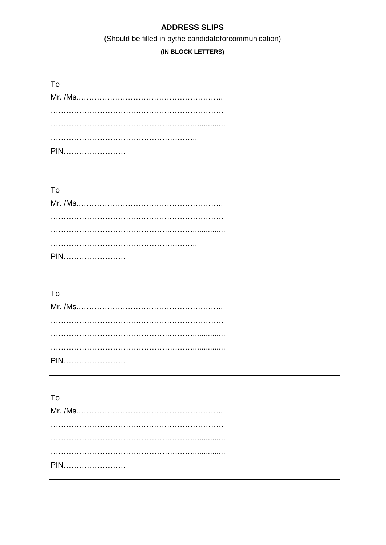## **ADDRESS SLIPS**

## (Should be filled in bythe candidateforcommunication)

## (IN BLOCK LETTERS)

| . Tറ |
|------|
|      |
|      |
|      |
|      |
|      |

## To

## To

## $\mathsf{To}$

| PIN |  |  |  |  |  |  |  |  |
|-----|--|--|--|--|--|--|--|--|